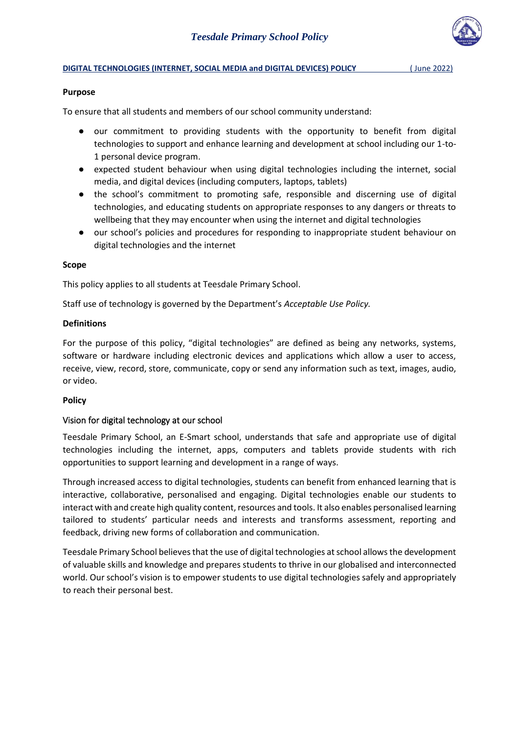

#### **DIGITAL TECHNOLOGIES (INTERNET, SOCIAL MEDIA and DIGITAL DEVICES) POLICY** (June 2022)

### **Purpose**

To ensure that all students and members of our school community understand:

- our commitment to providing students with the opportunity to benefit from digital technologies to support and enhance learning and development at school including our 1-to-1 personal device program.
- expected student behaviour when using digital technologies including the internet, social media, and digital devices (including computers, laptops, tablets)
- the school's commitment to promoting safe, responsible and discerning use of digital technologies, and educating students on appropriate responses to any dangers or threats to wellbeing that they may encounter when using the internet and digital technologies
- our school's policies and procedures for responding to inappropriate student behaviour on digital technologies and the internet

### **Scope**

This policy applies to all students at Teesdale Primary School.

Staff use of technology is governed by the Department's *Acceptable Use Policy.*

### **Definitions**

For the purpose of this policy, "digital technologies" are defined as being any networks, systems, software or hardware including electronic devices and applications which allow a user to access, receive, view, record, store, communicate, copy or send any information such as text, images, audio, or video.

### **Policy**

### Vision for digital technology at our school

Teesdale Primary School, an E-Smart school, understands that safe and appropriate use of digital technologies including the internet, apps, computers and tablets provide students with rich opportunities to support learning and development in a range of ways.

Through increased access to digital technologies, students can benefit from enhanced learning that is interactive, collaborative, personalised and engaging. Digital technologies enable our students to interact with and create high quality content, resources and tools. It also enables personalised learning tailored to students' particular needs and interests and transforms assessment, reporting and feedback, driving new forms of collaboration and communication.

Teesdale Primary School believes that the use of digital technologies at school allows the development of valuable skills and knowledge and prepares students to thrive in our globalised and interconnected world. Our school's vision is to empower students to use digital technologies safely and appropriately to reach their personal best.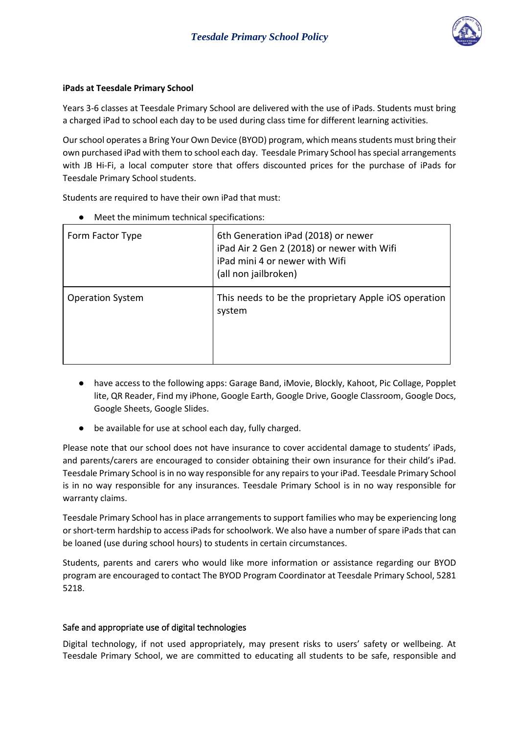

## **iPads at Teesdale Primary School**

Years 3-6 classes at Teesdale Primary School are delivered with the use of iPads. Students must bring a charged iPad to school each day to be used during class time for different learning activities.

Our school operates a Bring Your Own Device (BYOD) program, which means students must bring their own purchased iPad with them to school each day. Teesdale Primary School has special arrangements with JB Hi-Fi, a local computer store that offers discounted prices for the purchase of iPads for Teesdale Primary School students.

Students are required to have their own iPad that must:

| Form Factor Type        | 6th Generation iPad (2018) or newer<br>iPad Air 2 Gen 2 (2018) or newer with Wifi<br>iPad mini 4 or newer with Wifi<br>(all non jailbroken) |  |
|-------------------------|---------------------------------------------------------------------------------------------------------------------------------------------|--|
| <b>Operation System</b> | This needs to be the proprietary Apple iOS operation<br>system                                                                              |  |

Meet the minimum technical specifications:

- have access to the following apps: Garage Band, iMovie, Blockly, Kahoot, Pic Collage, Popplet lite, QR Reader, Find my iPhone, Google Earth, Google Drive, Google Classroom, Google Docs, Google Sheets, Google Slides.
- be available for use at school each day, fully charged.

Please note that our school does not have insurance to cover accidental damage to students' iPads, and parents/carers are encouraged to consider obtaining their own insurance for their child's iPad. Teesdale Primary School is in no way responsible for any repairs to your iPad. Teesdale Primary School is in no way responsible for any insurances. Teesdale Primary School is in no way responsible for warranty claims.

Teesdale Primary School has in place arrangements to support families who may be experiencing long or short-term hardship to access iPads for schoolwork. We also have a number of spare iPads that can be loaned (use during school hours) to students in certain circumstances.

Students, parents and carers who would like more information or assistance regarding our BYOD program are encouraged to contact The BYOD Program Coordinator at Teesdale Primary School, 5281 5218.

# Safe and appropriate use of digital technologies

Digital technology, if not used appropriately, may present risks to users' safety or wellbeing. At Teesdale Primary School, we are committed to educating all students to be safe, responsible and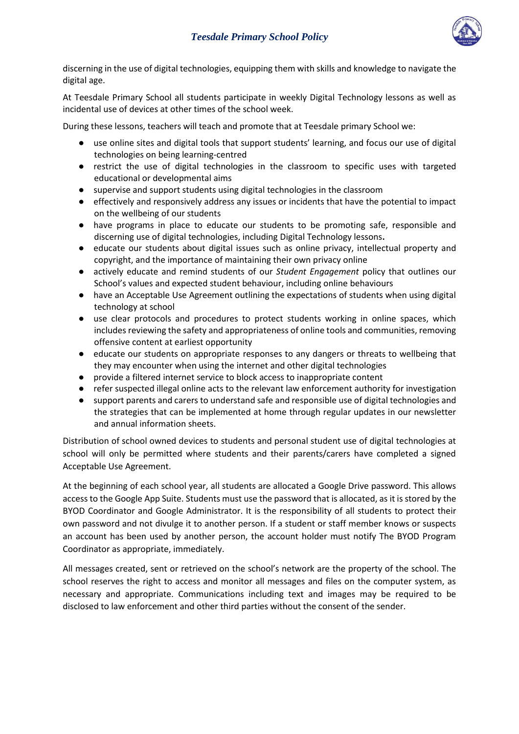

discerning in the use of digital technologies, equipping them with skills and knowledge to navigate the digital age.

At Teesdale Primary School all students participate in weekly Digital Technology lessons as well as incidental use of devices at other times of the school week.

During these lessons, teachers will teach and promote that at Teesdale primary School we:

- use online sites and digital tools that support students' learning, and focus our use of digital technologies on being learning-centred
- restrict the use of digital technologies in the classroom to specific uses with targeted educational or developmental aims
- supervise and support students using digital technologies in the classroom
- effectively and responsively address any issues or incidents that have the potential to impact on the wellbeing of our students
- have programs in place to educate our students to be promoting safe, responsible and discerning use of digital technologies, including Digital Technology lessons**.**
- educate our students about digital issues such as online privacy, intellectual property and copyright, and the importance of maintaining their own privacy online
- actively educate and remind students of our *Student Engagement* policy that outlines our School's values and expected student behaviour, including online behaviours
- have an Acceptable Use Agreement outlining the expectations of students when using digital technology at school
- use clear protocols and procedures to protect students working in online spaces, which includes reviewing the safety and appropriateness of online tools and communities, removing offensive content at earliest opportunity
- educate our students on appropriate responses to any dangers or threats to wellbeing that they may encounter when using the internet and other digital technologies
- provide a filtered internet service to block access to inappropriate content
- refer suspected illegal online acts to the relevant law enforcement authority for investigation
- support parents and carers to understand safe and responsible use of digital technologies and the strategies that can be implemented at home through regular updates in our newsletter and annual information sheets.

Distribution of school owned devices to students and personal student use of digital technologies at school will only be permitted where students and their parents/carers have completed a signed Acceptable Use Agreement.

At the beginning of each school year, all students are allocated a Google Drive password. This allows access to the Google App Suite. Students must use the password that is allocated, as it is stored by the BYOD Coordinator and Google Administrator. It is the responsibility of all students to protect their own password and not divulge it to another person. If a student or staff member knows or suspects an account has been used by another person, the account holder must notify The BYOD Program Coordinator as appropriate, immediately.

All messages created, sent or retrieved on the school's network are the property of the school. The school reserves the right to access and monitor all messages and files on the computer system, as necessary and appropriate. Communications including text and images may be required to be disclosed to law enforcement and other third parties without the consent of the sender.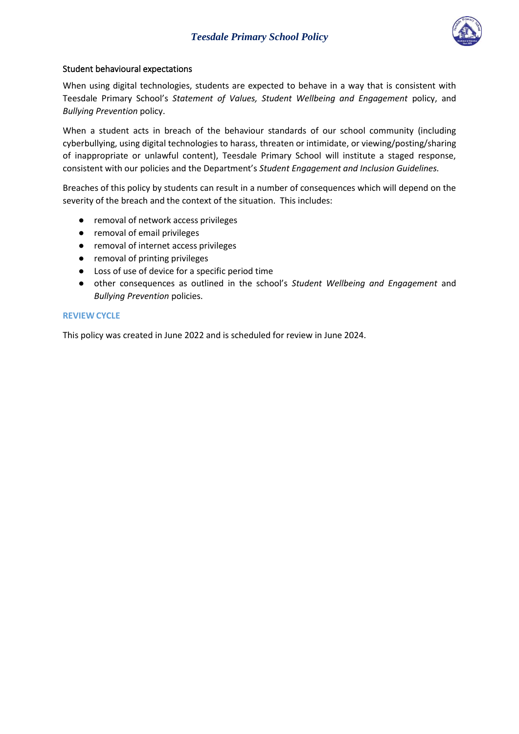

## Student behavioural expectations

When using digital technologies, students are expected to behave in a way that is consistent with Teesdale Primary School's *Statement of Values, Student Wellbeing and Engagement* policy, and *Bullying Prevention* policy.

When a student acts in breach of the behaviour standards of our school community (including cyberbullying, using digital technologies to harass, threaten or intimidate, or viewing/posting/sharing of inappropriate or unlawful content), Teesdale Primary School will institute a staged response, consistent with our policies and the Department's *Student Engagement and Inclusion Guidelines.*

Breaches of this policy by students can result in a number of consequences which will depend on the severity of the breach and the context of the situation. This includes:

- removal of network access privileges
- removal of email privileges
- removal of internet access privileges
- removal of printing privileges
- Loss of use of device for a specific period time
- other consequences as outlined in the school's *Student Wellbeing and Engagement* and *Bullying Prevention* policies.

#### **REVIEW CYCLE**

This policy was created in June 2022 and is scheduled for review in June 2024.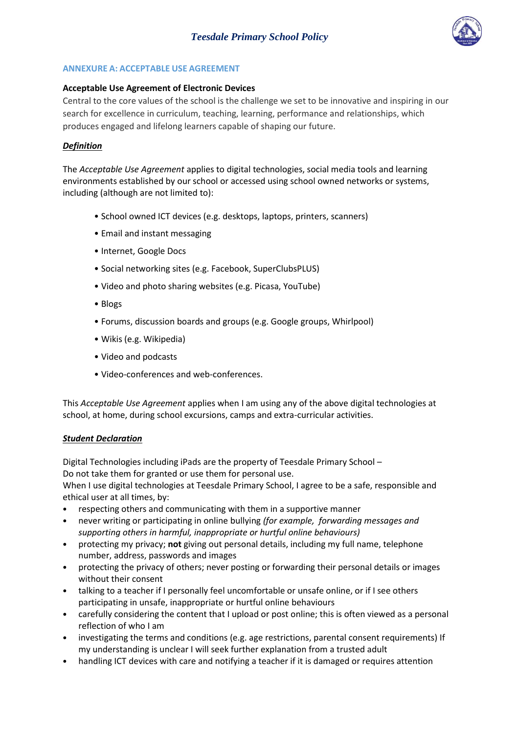

## **ANNEXURE A: ACCEPTABLE USE AGREEMENT**

### **Acceptable Use Agreement of Electronic Devices**

Central to the core values of the school is the challenge we set to be innovative and inspiring in our search for excellence in curriculum, teaching, learning, performance and relationships, which produces engaged and lifelong learners capable of shaping our future.

## *Definition*

The *Acceptable Use Agreement* applies to digital technologies, social media tools and learning environments established by our school or accessed using school owned networks or systems, including (although are not limited to):

- School owned ICT devices (e.g. desktops, laptops, printers, scanners)
- Email and instant messaging
- Internet, Google Docs
- Social networking sites (e.g. Facebook, SuperClubsPLUS)
- Video and photo sharing websites (e.g. Picasa, YouTube)
- Blogs
- Forums, discussion boards and groups (e.g. Google groups, Whirlpool)
- Wikis (e.g. Wikipedia)
- Video and podcasts
- Video-conferences and web-conferences.

This *Acceptable Use Agreement* applies when I am using any of the above digital technologies at school, at home, during school excursions, camps and extra-curricular activities.

### *Student Declaration*

Digital Technologies including iPads are the property of Teesdale Primary School – Do not take them for granted or use them for personal use.

When I use digital technologies at Teesdale Primary School, I agree to be a safe, responsible and ethical user at all times, by:

- respecting others and communicating with them in a supportive manner
- never writing or participating in online bullying *(for example, forwarding messages and supporting others in harmful, inappropriate or hurtful online behaviours)*
- protecting my privacy; **not** giving out personal details, including my full name, telephone number, address, passwords and images
- protecting the privacy of others; never posting or forwarding their personal details or images without their consent
- talking to a teacher if I personally feel uncomfortable or unsafe online, or if I see others participating in unsafe, inappropriate or hurtful online behaviours
- carefully considering the content that I upload or post online; this is often viewed as a personal reflection of who I am
- investigating the terms and conditions (e.g. age restrictions, parental consent requirements) If my understanding is unclear I will seek further explanation from a trusted adult
- handling ICT devices with care and notifying a teacher if it is damaged or requires attention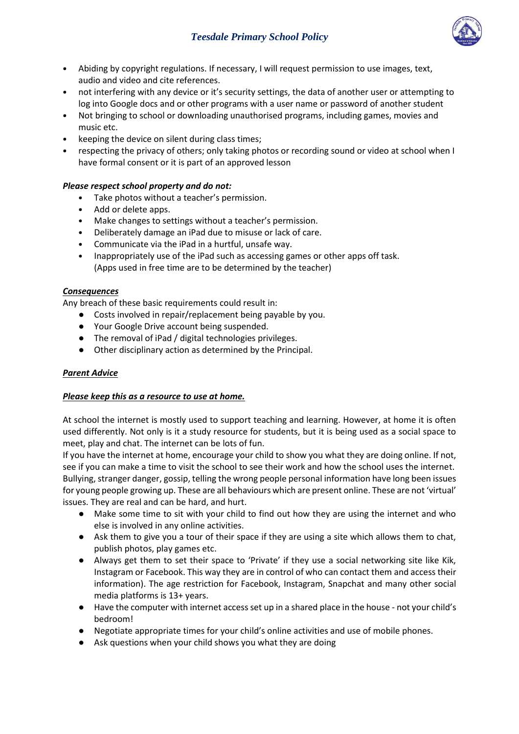

- Abiding by copyright regulations. If necessary, I will request permission to use images, text, audio and video and cite references.
- not interfering with any device or it's security settings, the data of another user or attempting to log into Google docs and or other programs with a user name or password of another student
- Not bringing to school or downloading unauthorised programs, including games, movies and music etc.
- keeping the device on silent during class times;
- respecting the privacy of others; only taking photos or recording sound or video at school when I have formal consent or it is part of an approved lesson

# *Please respect school property and do not:*

- Take photos without a teacher's permission.
- Add or delete apps.
- Make changes to settings without a teacher's permission.
- Deliberately damage an iPad due to misuse or lack of care.
- Communicate via the iPad in a hurtful, unsafe way.
- Inappropriately use of the iPad such as accessing games or other apps off task. (Apps used in free time are to be determined by the teacher)

## *Consequences*

Any breach of these basic requirements could result in:

- Costs involved in repair/replacement being payable by you.
- Your Google Drive account being suspended.
- The removal of iPad / digital technologies privileges.
- Other disciplinary action as determined by the Principal.

# *Parent Advice*

# *Please keep this as a resource to use at home.*

At school the internet is mostly used to support teaching and learning. However, at home it is often used differently. Not only is it a study resource for students, but it is being used as a social space to meet, play and chat. The internet can be lots of fun.

If you have the internet at home, encourage your child to show you what they are doing online. If not, see if you can make a time to visit the school to see their work and how the school uses the internet. Bullying, stranger danger, gossip, telling the wrong people personal information have long been issues for young people growing up. These are all behaviours which are present online. These are not 'virtual' issues. They are real and can be hard, and hurt.

- Make some time to sit with your child to find out how they are using the internet and who else is involved in any online activities.
- Ask them to give you a tour of their space if they are using a site which allows them to chat, publish photos, play games etc.
- Always get them to set their space to 'Private' if they use a social networking site like Kik, Instagram or Facebook. This way they are in control of who can contact them and access their information). The age restriction for Facebook, Instagram, Snapchat and many other social media platforms is 13+ years.
- Have the computer with internet access set up in a shared place in the house not your child's bedroom!
- Negotiate appropriate times for your child's online activities and use of mobile phones.
- Ask questions when your child shows you what they are doing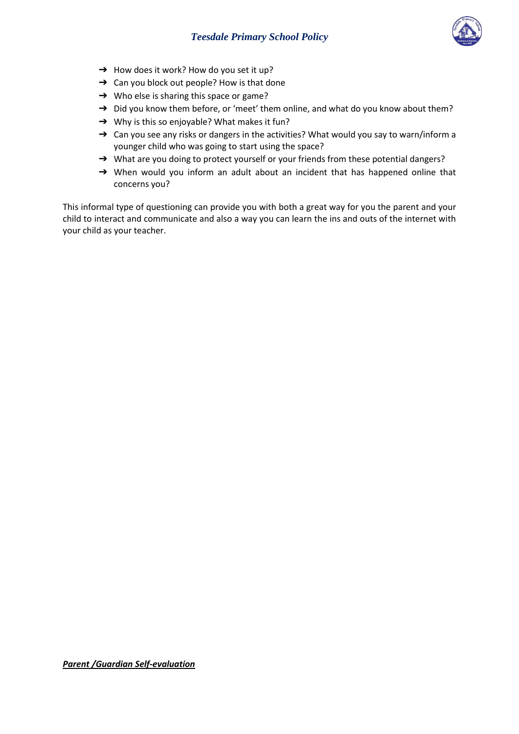

- $\rightarrow$  How does it work? How do you set it up?
- $\rightarrow$  Can you block out people? How is that done
- → Who else is sharing this space or game?
- → Did you know them before, or 'meet' them online, and what do you know about them?
- → Why is this so enjoyable? What makes it fun?
- → Can you see any risks or dangers in the activities? What would you say to warn/inform a younger child who was going to start using the space?
- → What are you doing to protect yourself or your friends from these potential dangers?
- → When would you inform an adult about an incident that has happened online that concerns you?

This informal type of questioning can provide you with both a great way for you the parent and your child to interact and communicate and also a way you can learn the ins and outs of the internet with your child as your teacher.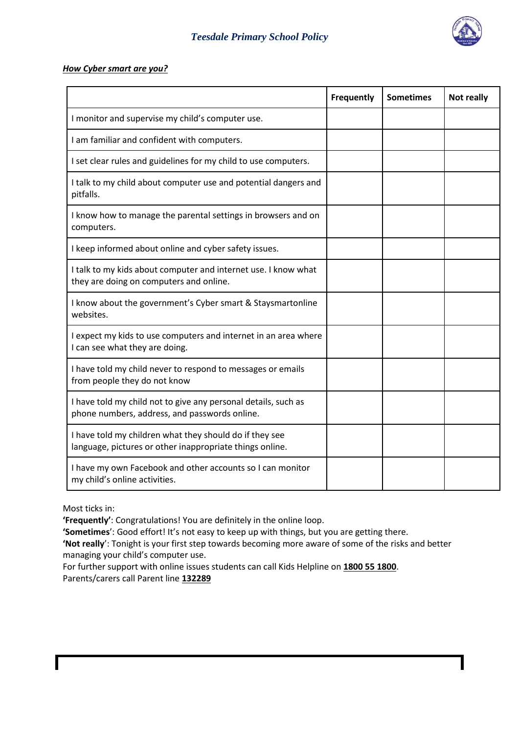

### *How Cyber smart are you?*

|                                                                                                                     | <b>Frequently</b> | <b>Sometimes</b> | Not really |
|---------------------------------------------------------------------------------------------------------------------|-------------------|------------------|------------|
| I monitor and supervise my child's computer use.                                                                    |                   |                  |            |
| I am familiar and confident with computers.                                                                         |                   |                  |            |
| I set clear rules and guidelines for my child to use computers.                                                     |                   |                  |            |
| I talk to my child about computer use and potential dangers and<br>pitfalls.                                        |                   |                  |            |
| I know how to manage the parental settings in browsers and on<br>computers.                                         |                   |                  |            |
| I keep informed about online and cyber safety issues.                                                               |                   |                  |            |
| I talk to my kids about computer and internet use. I know what<br>they are doing on computers and online.           |                   |                  |            |
| I know about the government's Cyber smart & Staysmartonline<br>websites.                                            |                   |                  |            |
| I expect my kids to use computers and internet in an area where<br>I can see what they are doing.                   |                   |                  |            |
| I have told my child never to respond to messages or emails<br>from people they do not know                         |                   |                  |            |
| I have told my child not to give any personal details, such as<br>phone numbers, address, and passwords online.     |                   |                  |            |
| I have told my children what they should do if they see<br>language, pictures or other inappropriate things online. |                   |                  |            |
| I have my own Facebook and other accounts so I can monitor<br>my child's online activities.                         |                   |                  |            |

Most ticks in:

**'Frequently'**: Congratulations! You are definitely in the online loop.

'Sometimes': Good effort! It's not easy to keep up with things, but you are getting there.

**'Not really**': Tonight is your first step towards becoming more aware of some of the risks and better managing your child's computer use.

For further support with online issues students can call Kids Helpline on **1800 55 1800**. Parents/carers call Parent line **132289**